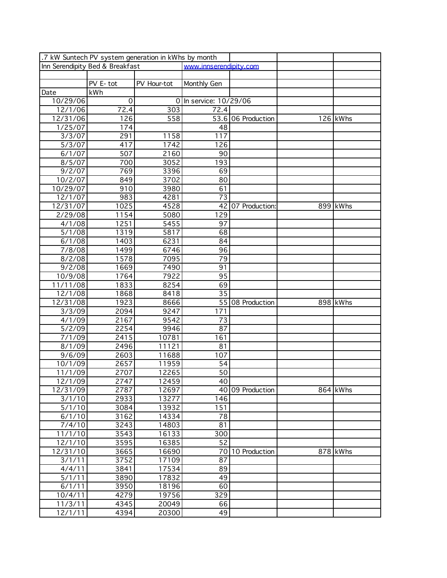| .7 kW Suntech PV system generation in kWhs by month |                       |                        |                        |                    |  |          |  |  |
|-----------------------------------------------------|-----------------------|------------------------|------------------------|--------------------|--|----------|--|--|
| Inn Serendipity Bed & Breakfast                     |                       | www.innserendipity.com |                        |                    |  |          |  |  |
|                                                     |                       |                        |                        |                    |  |          |  |  |
|                                                     | $\overline{PV}$ E-tot | PV Hour-tot            | Monthly Gen            |                    |  |          |  |  |
| Date                                                | kWh                   |                        |                        |                    |  |          |  |  |
| 10/29/06                                            | $\overline{0}$        |                        | 0 In service: 10/29/06 |                    |  |          |  |  |
| 12/1/06                                             | 72.4                  | 303                    | 72.4                   |                    |  |          |  |  |
| 12/31/06                                            | 126                   | 558                    |                        | 53.6 06 Production |  | 126 kWhs |  |  |
| 1/25/07                                             | 174                   |                        | 48                     |                    |  |          |  |  |
| 3/3/07                                              | 291                   | 1158                   | 117                    |                    |  |          |  |  |
| 5/3/07                                              | 417                   | 1742                   | 126                    |                    |  |          |  |  |
| 6/1/07                                              | 507                   | 2160                   | 90                     |                    |  |          |  |  |
| 8/5/07                                              | 700                   | 3052                   | 193                    |                    |  |          |  |  |
| 9/2/07                                              | 769                   | 3396                   | 69                     |                    |  |          |  |  |
| 10/2/07                                             | 849                   | 3702                   | 80                     |                    |  |          |  |  |
| 10/29/07                                            | 910                   | 3980                   | 61                     |                    |  |          |  |  |
| 12/1/07                                             | 983                   | 4281                   | 73                     |                    |  |          |  |  |
| $12/31/\overline{07}$                               | 1025                  | 4528                   | 42                     | 07 Production:     |  | 899 kWhs |  |  |
| 2/29/08                                             | 1154                  | 5080                   | 129                    |                    |  |          |  |  |
| 4/1/08                                              | 1251                  | 5455                   | 97                     |                    |  |          |  |  |
| 5/1/08                                              | 1319                  | 5817                   | 68                     |                    |  |          |  |  |
| 6/1/08                                              | 1403                  | 6231                   | 84                     |                    |  |          |  |  |
| 7/8/08                                              | 1499                  | 6746                   | 96                     |                    |  |          |  |  |
| 8/2/08                                              | 1578                  | 7095                   | 79                     |                    |  |          |  |  |
| 9/2/08                                              |                       | 7490                   | 91                     |                    |  |          |  |  |
|                                                     | 1669                  | 7922                   |                        |                    |  |          |  |  |
| 10/9/08                                             | 1764                  |                        | 95                     |                    |  |          |  |  |
| 11/11/08<br>12/1/08                                 | 1833                  | 8254                   | 69<br>35               |                    |  |          |  |  |
|                                                     | 1868                  | 8418                   |                        |                    |  |          |  |  |
| 12/31/08                                            | 1923                  | 8666                   |                        | 55 08 Production   |  | 898 kWhs |  |  |
| 3/3/09                                              | 2094                  | 9247                   | 171                    |                    |  |          |  |  |
| 4/1/09                                              | 2167                  | $\frac{1}{9542}$       | 73                     |                    |  |          |  |  |
| 5/2/09                                              | 2254                  | 9946                   | 87                     |                    |  |          |  |  |
| 7/1/09                                              | 2415                  | 10781                  | 161                    |                    |  |          |  |  |
| 8/1/09                                              | 2496                  | 11121                  | 81                     |                    |  |          |  |  |
| 9/6/09                                              | 2603                  | 11688                  | 107                    |                    |  |          |  |  |
| 10/1/09                                             | 2657                  | 11959                  | 54                     |                    |  |          |  |  |
| 11/1/09                                             | 2707                  | 12265                  | 50                     |                    |  |          |  |  |
| 12/1/09                                             | 2747                  | 12459                  | 40                     |                    |  |          |  |  |
| 12/31/09                                            | 2787                  | 12697                  |                        | 40 09 Production   |  | 864 kWhs |  |  |
| 3/1/10                                              | 2933                  | 13277                  | 146                    |                    |  |          |  |  |
| 5/1/10                                              | 3084                  | 13932                  | 151                    |                    |  |          |  |  |
| 6/1/10                                              | 3162                  | 14334                  | 78                     |                    |  |          |  |  |
| 7/4/10                                              | 3243                  | 14803                  | 81                     |                    |  |          |  |  |
| 11/1/10                                             | 3543                  | 16133                  | 300                    |                    |  |          |  |  |
| 12/1/10                                             | 3595                  | 16385                  | 52                     |                    |  |          |  |  |
| 12/31/10                                            | 3665                  | 16690                  |                        | 70 10 Production   |  | 878 kWhs |  |  |
| 3/1/11                                              | 3752                  | 17109                  | 87                     |                    |  |          |  |  |
| 4/4/11                                              | 3841                  | 17534                  | 89                     |                    |  |          |  |  |
| 5/1/11                                              | 3890                  | 17832                  | 49                     |                    |  |          |  |  |
| 6/1/11                                              | 3950                  | 18196                  | 60                     |                    |  |          |  |  |
| 10/4/11                                             | 4279                  | 19756                  | 329                    |                    |  |          |  |  |
| 11/3/11                                             | 4345                  | 20049                  | 66                     |                    |  |          |  |  |
| 12/1/11                                             | 4394                  | 20300                  | 49                     |                    |  |          |  |  |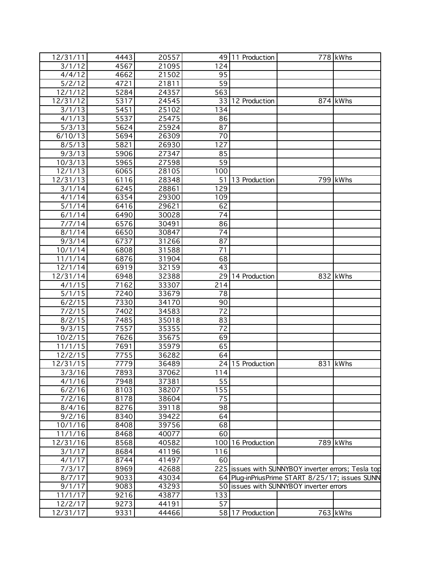| 12/31/11 | 4443 | 20557 |                 | 49 11 Production  |                                                     | 778 kWhs |
|----------|------|-------|-----------------|-------------------|-----------------------------------------------------|----------|
| 3/1/12   | 4567 | 21095 | 124             |                   |                                                     |          |
| 4/4/12   | 4662 | 21502 | 95              |                   |                                                     |          |
| 5/2/12   | 4721 | 21811 | 59              |                   |                                                     |          |
| 12/1/12  | 5284 | 24357 | 563             |                   |                                                     |          |
| 12/31/12 | 5317 | 24545 |                 | 33 12 Production  |                                                     | 874 kWhs |
| 3/1/13   | 5451 | 25102 | 134             |                   |                                                     |          |
| 4/1/13   | 5537 | 25475 | 86              |                   |                                                     |          |
| 5/3/13   | 5624 | 25924 | 87              |                   |                                                     |          |
| 6/10/13  |      |       | 70              |                   |                                                     |          |
|          | 5694 | 26309 | 127             |                   |                                                     |          |
| 8/5/13   | 5821 | 26930 |                 |                   |                                                     |          |
| 9/3/13   | 5906 | 27347 | 85              |                   |                                                     |          |
| 10/3/13  | 5965 | 27598 | 59              |                   |                                                     |          |
| 12/1/13  | 6065 | 28105 | 100             |                   |                                                     |          |
| 12/31/13 | 6116 | 28348 |                 | 51 13 Production  |                                                     | 799 kWhs |
| 3/1/14   | 6245 | 28861 | 129             |                   |                                                     |          |
| 4/1/14   | 6354 | 29300 | 109             |                   |                                                     |          |
| 5/1/14   | 6416 | 29621 | 62              |                   |                                                     |          |
| 6/1/14   | 6490 | 30028 | 74              |                   |                                                     |          |
| 7/7/14   | 6576 | 30491 | 86              |                   |                                                     |          |
| 8/1/14   | 6650 | 30847 | 74              |                   |                                                     |          |
| 9/3/14   | 6737 | 31266 | 87              |                   |                                                     |          |
| 10/1/14  | 6808 | 31588 | $\overline{71}$ |                   |                                                     |          |
| 11/1/14  | 6876 | 31904 | 68              |                   |                                                     |          |
| 12/1/14  | 6919 | 32159 | 43              |                   |                                                     |          |
| 12/31/14 | 6948 | 32388 |                 | 29 14 Production  |                                                     | 832 kWhs |
| 4/1/15   | 7162 | 33307 | 214             |                   |                                                     |          |
| 5/1/15   | 7240 | 33679 | 78              |                   |                                                     |          |
| 6/2/15   | 7330 | 34170 | 90              |                   |                                                     |          |
| 7/2/15   | 7402 | 34583 | 72              |                   |                                                     |          |
| 8/2/15   | 7485 | 35018 | 83              |                   |                                                     |          |
| 9/3/15   | 7557 | 35355 | $\overline{72}$ |                   |                                                     |          |
| 10/2/15  | 7626 | 35675 | 69              |                   |                                                     |          |
| 11/1/15  | 7691 | 35979 | 65              |                   |                                                     |          |
| 12/2/15  | 7755 | 36282 | 64              |                   |                                                     |          |
| 12/31/15 | 7779 | 36489 |                 | 24 15 Production  |                                                     | 831 kWhs |
| 3/3/16   | 7893 | 37062 | 114             |                   |                                                     |          |
| 4/1/16   | 7948 | 37381 | 55              |                   |                                                     |          |
| 6/2/16   | 8103 | 38207 | 155             |                   |                                                     |          |
| 7/2/16   | 8178 | 38604 | 75              |                   |                                                     |          |
| 8/4/16   | 8276 | 39118 | 98              |                   |                                                     |          |
| 9/2/16   | 8340 | 39422 | 64              |                   |                                                     |          |
| 10/1/16  | 8408 | 39756 | 68              |                   |                                                     |          |
| 11/1/16  | 8468 |       | 60              |                   |                                                     |          |
|          |      | 40077 |                 |                   |                                                     |          |
| 12/31/16 | 8568 | 40582 |                 | 100 16 Production |                                                     | 789 kWhs |
| 3/1/17   | 8684 | 41196 | 116             |                   |                                                     |          |
| 4/1/17   | 8744 | 41497 | 60              |                   |                                                     |          |
| 7/3/17   | 8969 | 42688 |                 |                   | 225 Issues with SUNNYBOY inverter errors; Tesla top |          |
| 8/7/17   | 9033 | 43034 |                 |                   | 64 Plug-inPriusPrime START 8/25/17; issues SUNN     |          |
| 9/1/17   | 9083 | 43293 |                 |                   | 50 issues with SUNNYBOY inverter errors             |          |
| 11/1/17  | 9216 | 43877 | 133             |                   |                                                     |          |
| 12/2/17  | 9273 | 44191 | 57              |                   |                                                     |          |
| 12/31/17 | 9331 | 44466 |                 | 58 17 Production  |                                                     | 763 kWhs |